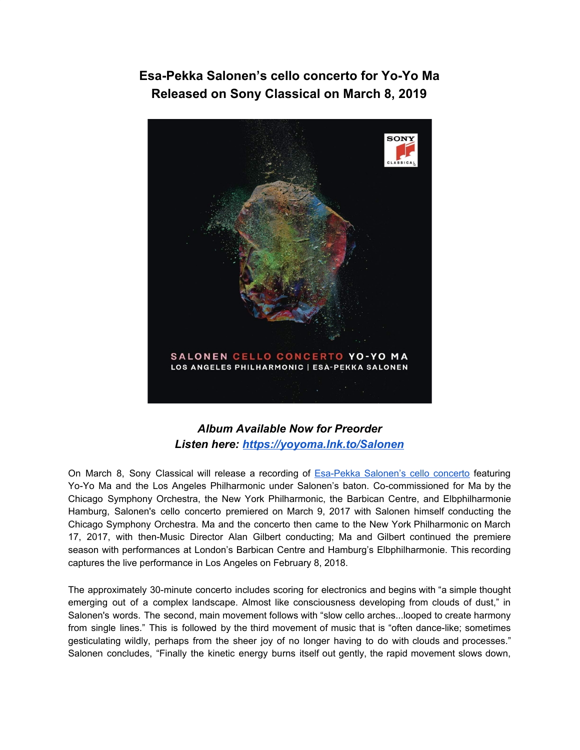**Esa-Pekka Salonen's cello concerto for Yo-Yo Ma Released on Sony Classical on March 8, 2019**



## *Album Available Now for Preorder Listen here: [https://yoyoma.lnk.to/Salonen](http://email.prnewswire.com/wf/click?upn=roLjpBIv8B6CKYfv9zBOa-2BbHAxfMFk4-2BsPHeyZdT7W-2BMlvxxJAM9qY9JgURWXk2XTK3LGZIUrDHUW-2F2Kwl-2FnaerNX3oE-2FVtd4hPww1G3E4YAUde3GURE2XsrGUem4OQQrrYornyJaLwA-2BUufv-2Bp2N2AJ205Taoj-2BM6Fk9dppbS7BVyTo3393agQHSsZYXa3BD-2FlDvBJoAnhdh4L9rVfrLdvlLd8ormdk6tnwLw-2BOU6qrzxcBj1Ecwx3Ru7TzJa9I_DruDjhchMBr5xQkz3h1qcOnjZc-2BCsAVhraQ7DxYhbA2-2BHLQf-2BHKWaWi2FTM7QHo-2FRs1jJ-2Bt3jkhr5MoSxiiIRiHN-2BxB7-2FV2maJEh-2Foz-2BE20Us1u8Lf4dTbbDm6JXIMQPy9szzsrMEzTpBvV5bJcAC3Orj1IQb5pSQ0ZWvL17Ovzmh8Z2X3RQtpiEkOWq-2BzpDWugL5hUHPsjDbbetohH0PinIDjrk4WPQOeLJO0oMvePGljge8KS1owVhFy34RNphGGwiKDElLGTHMvx1PLVPx3nlAEkauLphjM6WcFz1BnSNIfFgS2LdwEueAAHg5G4b)*

On March 8, Sony Classical will release a recording of **[Esa-Pekka](http://email.prnewswire.com/wf/click?upn=roLjpBIv8B6CKYfv9zBOa-2BbHAxfMFk4-2BsPHeyZdT7W-2BMlvxxJAM9qY9JgURWXk2XTK3LGZIUrDHUW-2F2Kwl-2FnaerNX3oE-2FVtd4hPww1G3E4YAUde3GURE2XsrGUem4OQQrrYornyJaLwA-2BUufv-2Bp2N2AJ205Taoj-2BM6Fk9dppbS7BVyTo3393agQHSsZYXa3BD-2FlDvBJoAnhdh4L9rVfrLbqSZk-2Fx9OTsEcsu-2BQLe6nDq0DlStWKu95uGrUciNl0R_DruDjhchMBr5xQkz3h1qcOnjZc-2BCsAVhraQ7DxYhbA2-2BHLQf-2BHKWaWi2FTM7QHo-2FRs1jJ-2Bt3jkhr5MoSxiiIRiHN-2BxB7-2FV2maJEh-2Foz-2BE20Us1u8Lf4dTbbDm6JXIMQPy9szzsrMEzTpBvV5bJcAC3Orj1IQb5pSQ0ZWvL17OvzVk232bIVd0VrGu04dYKE3TkAC-2Flh32-2FYhlDnE6z5l8ygfIGDAb63Qb2n3-2FTgMOR-2BQVPYhkfZdKjgFmsEmQyYmicsewgdw-2FoLKLEB5gJ13YSmY-2FPAqqgekUJ2t3fzjPcOF63WBbHl-2FL2jk1HxMztsk) Salonen's cello concerto** featuring Yo-Yo Ma and the Los Angeles Philharmonic under Salonen's baton. Co-commissioned for Ma by the Chicago Symphony Orchestra, the New York Philharmonic, the Barbican Centre, and Elbphilharmonie Hamburg, Salonen's cello concerto premiered on March 9, 2017 with Salonen himself conducting the Chicago Symphony Orchestra. Ma and the concerto then came to the New York Philharmonic on March 17, 2017, with then-Music Director Alan Gilbert conducting; Ma and Gilbert continued the premiere season with performances at London's Barbican Centre and Hamburg's Elbphilharmonie. This recording captures the live performance in Los Angeles on February 8, 2018.

The approximately 30-minute concerto includes scoring for electronics and begins with "a simple thought emerging out of a complex landscape. Almost like consciousness developing from clouds of dust," in Salonen's words. The second, main movement follows with "slow cello arches...looped to create harmony from single lines." This is followed by the third movement of music that is "often dance-like; sometimes gesticulating wildly, perhaps from the sheer joy of no longer having to do with clouds and processes." Salonen concludes, "Finally the kinetic energy burns itself out gently, the rapid movement slows down,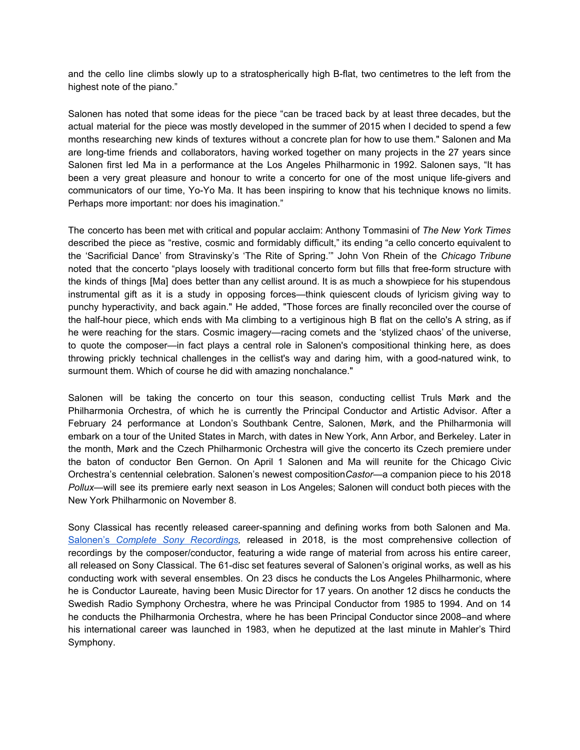and the cello line climbs slowly up to a stratospherically high B-flat, two centimetres to the left from the highest note of the piano."

Salonen has noted that some ideas for the piece "can be traced back by at least three decades, but the actual material for the piece was mostly developed in the summer of 2015 when I decided to spend a few months researching new kinds of textures without a concrete plan for how to use them." Salonen and Ma are long-time friends and collaborators, having worked together on many projects in the 27 years since Salonen first led Ma in a performance at the Los Angeles Philharmonic in 1992. Salonen says, "It has been a very great pleasure and honour to write a concerto for one of the most unique life-givers and communicators of our time, Yo-Yo Ma. It has been inspiring to know that his technique knows no limits. Perhaps more important: nor does his imagination."

The concerto has been met with critical and popular acclaim: Anthony Tommasini of *The New York Times* described the piece as "restive, cosmic and formidably difficult," its ending "a cello concerto equivalent to the 'Sacrificial Dance' from Stravinsky's 'The Rite of Spring.'" John Von Rhein of the *Chicago Tribune* noted that the concerto "plays loosely with traditional concerto form but fills that free-form structure with the kinds of things [Ma] does better than any cellist around. It is as much a showpiece for his stupendous instrumental gift as it is a study in opposing forces—think quiescent clouds of lyricism giving way to punchy hyperactivity, and back again." He added, "Those forces are finally reconciled over the course of the half-hour piece, which ends with Ma climbing to a vertiginous high B flat on the cello's A string, as if he were reaching for the stars. Cosmic imagery—racing comets and the 'stylized chaos' of the universe, to quote the composer—in fact plays a central role in Salonen's compositional thinking here, as does throwing prickly technical challenges in the cellist's way and daring him, with a good-natured wink, to surmount them. Which of course he did with amazing nonchalance."

Salonen will be taking the concerto on tour this season, conducting cellist Truls Mørk and the Philharmonia Orchestra, of which he is currently the Principal Conductor and Artistic Advisor. After a February 24 performance at London's Southbank Centre, Salonen, Mørk, and the Philharmonia will embark on a tour of the United States in March, with dates in New York, Ann Arbor, and Berkeley. Later in the month, Mørk and the Czech Philharmonic Orchestra will give the concerto its Czech premiere under the baton of conductor Ben Gernon. On April 1 Salonen and Ma will reunite for the Chicago Civic Orchestra's centennial celebration. Salonen's newest composition*Castor—*a companion piece to his 2018 *Pollux—*will see its premiere early next season in Los Angeles; Salonen will conduct both pieces with the New York Philharmonic on November 8.

Sony Classical has recently released career-spanning and defining works from both Salonen and Ma. [Salonen's](http://email.prnewswire.com/wf/click?upn=roLjpBIv8B6CKYfv9zBOa-2BbHAxfMFk4-2BsPHeyZdT7W-2BMlvxxJAM9qY9JgURWXk2XTK3LGZIUrDHUW-2F2Kwl-2FnaerNX3oE-2FVtd4hPww1G3E4YAUde3GURE2XsrGUem4OQQrrYornyJaLwA-2BUufv-2Bp2N2AJ205Taoj-2BM6Fk9dppbS7BVyTo3393agQHSsZYXa3BD-2FlDvBJoAnhdh4L9rVfrLV7K4rztONmlwITw2tOHN7t30D5-2BtlfA4yDzFAcqyHS-2B_DruDjhchMBr5xQkz3h1qcOnjZc-2BCsAVhraQ7DxYhbA2-2BHLQf-2BHKWaWi2FTM7QHo-2FRs1jJ-2Bt3jkhr5MoSxiiIRiHN-2BxB7-2FV2maJEh-2Foz-2BE20Us1u8Lf4dTbbDm6JXIMQPy9szzsrMEzTpBvV5bJcAC3Orj1IQb5pSQ0ZWvL17OvznXP5vcR3oGYjlairnI6j7p80tTGhSw4RaiYLGQ8aW2XaptdgUPHTH8D0iJg3Pq143xHKnM7KU8sLFdBlK9NE5ympIPA-2F-2FXfb79Aje6K1AAnHMME5gO-2BeDuCHuhhaX33OA0pCBev8V5Lr8RJlxaEoV) *Complete Sony [Recordings](http://email.prnewswire.com/wf/click?upn=roLjpBIv8B6CKYfv9zBOa-2BbHAxfMFk4-2BsPHeyZdT7W-2BMlvxxJAM9qY9JgURWXk2XTK3LGZIUrDHUW-2F2Kwl-2FnaerNX3oE-2FVtd4hPww1G3E4YAUde3GURE2XsrGUem4OQQrrYornyJaLwA-2BUufv-2Bp2N2AJ205Taoj-2BM6Fk9dppbS7BVyTo3393agQHSsZYXa3BD-2FlDvBJoAnhdh4L9rVfrLV7K4rztONmlwITw2tOHN7t30D5-2BtlfA4yDzFAcqyHS-2B_DruDjhchMBr5xQkz3h1qcOnjZc-2BCsAVhraQ7DxYhbA2-2BHLQf-2BHKWaWi2FTM7QHo-2FRs1jJ-2Bt3jkhr5MoSxiiIRiHN-2BxB7-2FV2maJEh-2Foz-2BE20Us1u8Lf4dTbbDm6JXIMQPy9szzsrMEzTpBvV5bJcAC3Orj1IQb5pSQ0ZWvL17OvznXP5vcR3oGYjlairnI6j7p80tTGhSw4RaiYLGQ8aW2XaptdgUPHTH8D0iJg3Pq143xHKnM7KU8sLFdBlK9NE5ympIPA-2F-2FXfb79Aje6K1AAnHMME5gO-2BeDuCHuhhaX33OA0pCBev8V5Lr8RJlxaEoV),* released in 2018, is the most comprehensive collection of recordings by the composer/conductor, featuring a wide range of material from across his entire career, all released on Sony Classical. The 61-disc set features several of Salonen's original works, as well as his conducting work with several ensembles. On 23 discs he conducts the Los Angeles Philharmonic, where he is Conductor Laureate, having been Music Director for 17 years. On another 12 discs he conducts the Swedish Radio Symphony Orchestra, where he was Principal Conductor from 1985 to 1994. And on 14 he conducts the Philharmonia Orchestra, where he has been Principal Conductor since 2008–and where his international career was launched in 1983, when he deputized at the last minute in Mahler's Third Symphony.